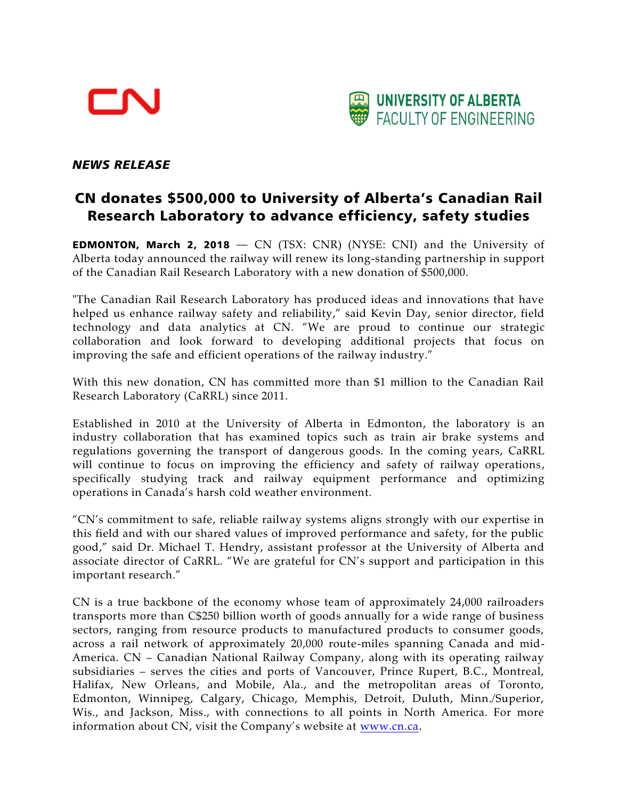



## *NEWS RELEASE*

## CN donates \$500,000 to University of Alberta's Canadian Rail Research Laboratory to advance efficiency, safety studies

**EDMONTON, March 2, 2018**  $-$  CN (TSX: CNR) (NYSE: CNI) and the University of Alberta today announced the railway will renew its long-standing partnership in support of the Canadian Rail Research Laboratory with a new donation of \$500,000.

"The Canadian Rail Research Laboratory has produced ideas and innovations that have helped us enhance railway safety and reliability," said Kevin Day, senior director, field technology and data analytics at CN. "We are proud to continue our strategic collaboration and look forward to developing additional projects that focus on improving the safe and efficient operations of the railway industry."

With this new donation, CN has committed more than \$1 million to the Canadian Rail Research Laboratory (CaRRL) since 2011.

Established in 2010 at the University of Alberta in Edmonton, the laboratory is an industry collaboration that has examined topics such as train air brake systems and regulations governing the transport of dangerous goods. In the coming years, CaRRL will continue to focus on improving the efficiency and safety of railway operations, specifically studying track and railway equipment performance and optimizing operations in Canada's harsh cold weather environment.

"CN's commitment to safe, reliable railway systems aligns strongly with our expertise in this field and with our shared values of improved performance and safety, for the public good," said Dr. Michael T. Hendry, assistant professor at the University of Alberta and associate director of CaRRL. "We are grateful for CN's support and participation in this important research."

CN is a true backbone of the economy whose team of approximately 24,000 railroaders transports more than C\$250 billion worth of goods annually for a wide range of business sectors, ranging from resource products to manufactured products to consumer goods, across a rail network of approximately 20,000 route-miles spanning Canada and mid-America. CN – Canadian National Railway Company, along with its operating railway subsidiaries – serves the cities and ports of Vancouver, Prince Rupert, B.C., Montreal, Halifax, New Orleans, and Mobile, Ala., and the metropolitan areas of Toronto, Edmonton, Winnipeg, Calgary, Chicago, Memphis, Detroit, Duluth, Minn./Superior, Wis., and Jackson, Miss., with connections to all points in North America. For more information about CN, visit the Company's website at [www.cn.ca](http://www.cn.ca/).